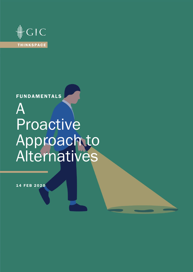

## **FUNDAMENTALS**

# A Proactive Approach to Alternatives

14 FEB 2020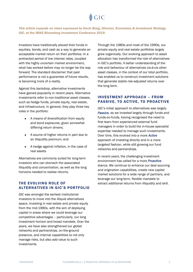## $CIC$

*This article expands on views expressed by Kevin Bong, Director, Economics & Investment Strategy, GIC, at the IMAS Bloomberg Investment Conference 2019.*

Investors have traditionally placed their funds in equities, bonds, and cash as a way to generate an acceptable market return on their portfolios. In a protracted period of low interest rates, coupled with the highly uncertain market environment, what has worked before may no longer be the way forward. The standard disclaimer that past performance is not a guarantee of future results, is becoming more of a reality.

Against this backdrop, alternative investments have gained popularity in recent years. Alternative investments refer to non-traditional asset classes, such as hedge funds, private equity, real estate, and infrastructure. In general, they play three key roles in the portfolio:

- A means of diversification from equity and bond exposures, given somewhat differing return drivers;
- A source of higher returns in part due to an illiquidity premium; and
- A hedge against inflation, in the case of real assets

Alternatives are commonly suited for long-term investors who can stomach the associated illiquidity and concentration, as well as the long horizons needed to realise returns.

#### THE EVOLVING ROLE OF ALTERNATIVES IN GIC'S PORTFOLIO

GIC was amongst the earliest institutional investors to move into the illiquid alternatives space, investing in real estate and private equity from the mid-1980s, with the aim of deploying capital in areas where we could leverage our competitive advantages – particularly, our long investment horizon and broad mandate. Over the years, we have also strengthened our global networks and partnerships, on-the-ground presence, and internal capabilities to not only manage risks, but also add value to such investments.

Through the 1980s and most of the 1990s, our private equity and real estate portfolios largely grew organically. Our evolving approach to asset allocation has transformed the role of alternatives in GIC's portfolio. A better understanding of the role and behaviour of alternatives vis-à-vis other asset classes, in the context of our total portfolio, has enabled us to construct investment solutions that generate stable risk-adjusted returns over the long term.

#### INVESTMENT APPROACH – FROM PASSIVE, TO ACTIVE, TO PROACTIVE

GIC's initial approach to alternatives was largely *Passive*, as we invested largely through funds and funds-on-funds, having recognised the need to first learn from experienced external fund managers in order to build the in-house specialist expertise needed to manage such investments. Over time, this evolved into a more *Active*  approach of investing directly and in a more targeted fashion, while still growing our fund networks and partnerships.

In recent years, the challenging investment environment has called for a more *Proactive* stance. We continue to enhance our deal sourcing and origination capabilities, create new capital market solutions for a wide range of partners, and leverage our long-term, flexible mandate to extract additional returns from illiquidity and skill.